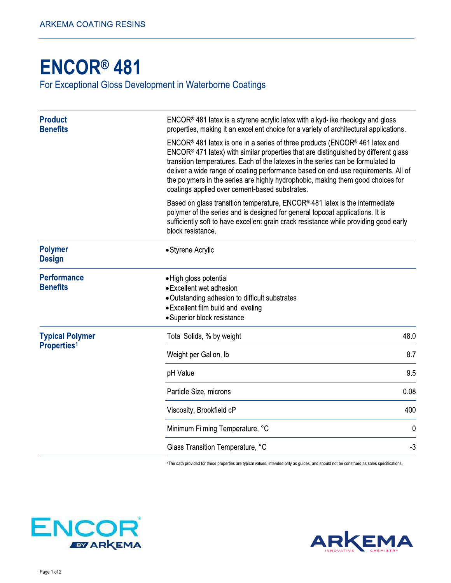## **ENCOR® 481**

For Exceptional Gloss Development in Waterborne Coatings

| <b>Product</b><br><b>Benefits</b>            | $ENCOR®$ 481 latex is a styrene acrylic latex with alkyd-like rheology and gloss<br>properties, making it an excellent choice for a variety of architectural applications.                                                                                                                                                                                                                                                                                                                      |      |  |
|----------------------------------------------|-------------------------------------------------------------------------------------------------------------------------------------------------------------------------------------------------------------------------------------------------------------------------------------------------------------------------------------------------------------------------------------------------------------------------------------------------------------------------------------------------|------|--|
|                                              | $ENCOR®$ 481 latex is one in a series of three products (ENCOR <sup>®</sup> 461 latex and<br>$ENCOR®$ 471 latex) with similar properties that are distinguished by different glass<br>transition temperatures. Each of the latexes in the series can be formulated to<br>deliver a wide range of coating performance based on end-use requirements. All of<br>the polymers in the series are highly hydrophobic, making them good choices for<br>coatings applied over cement-based substrates. |      |  |
|                                              | Based on glass transition temperature, ENCOR <sup>®</sup> 481 latex is the intermediate<br>polymer of the series and is designed for general topcoat applications. It is<br>sufficiently soft to have excellent grain crack resistance while providing good early<br>block resistance.                                                                                                                                                                                                          |      |  |
| <b>Polymer</b><br><b>Design</b>              | • Styrene Acrylic                                                                                                                                                                                                                                                                                                                                                                                                                                                                               |      |  |
| <b>Performance</b><br><b>Benefits</b>        | • High gloss potential<br>• Excellent wet adhesion<br>• Outstanding adhesion to difficult substrates<br>• Excellent film build and leveling<br>· Superior block resistance                                                                                                                                                                                                                                                                                                                      |      |  |
| <b>Typical Polymer</b><br><b>Properties1</b> | Total Solids, % by weight                                                                                                                                                                                                                                                                                                                                                                                                                                                                       | 48.0 |  |
|                                              | Weight per Gallon, Ib                                                                                                                                                                                                                                                                                                                                                                                                                                                                           | 8.7  |  |
|                                              | pH Value                                                                                                                                                                                                                                                                                                                                                                                                                                                                                        | 9.5  |  |
|                                              | Particle Size, microns                                                                                                                                                                                                                                                                                                                                                                                                                                                                          | 0.08 |  |
|                                              | Viscosity, Brookfield cP                                                                                                                                                                                                                                                                                                                                                                                                                                                                        | 400  |  |
|                                              | Minimum Filming Temperature, °C                                                                                                                                                                                                                                                                                                                                                                                                                                                                 | 0    |  |
|                                              | Glass Transition Temperature, °C                                                                                                                                                                                                                                                                                                                                                                                                                                                                | $-3$ |  |
|                                              |                                                                                                                                                                                                                                                                                                                                                                                                                                                                                                 |      |  |

<sup>1</sup>The data provided for these properties are typical values, intended only as guides, and should not be construed as sales specifications.